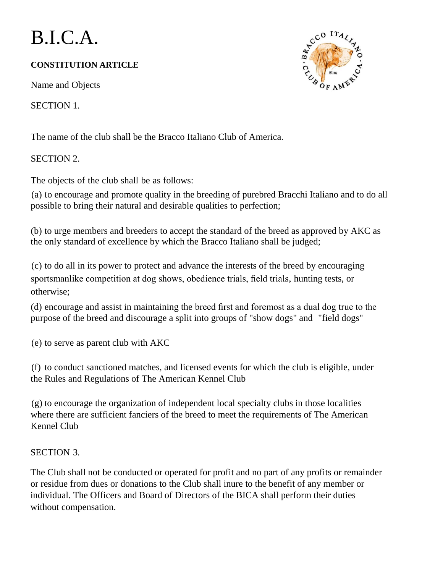# B.I.C.A.

## **CONSTITUTION ARTICLE**

Name and Objects

SECTION 1.

The name of the club shall be the Bracco Italiano Club of America.

## SECTION 2.

The objects of the club shall be as follows:

(a) to encourage and promote quality in the breeding of purebred Bracchi Italiano and to do all possible to bring their natural and desirable qualities to perfection;

(b) to urge members and breeders to accept the standard of the breed as approved by AKC as the only standard of excellence by which the Bracco Italiano shall be judged;

(c) to do all in its power to protect and advance the interests of the breed by encouraging sportsmanlike competition at dog shows, obedience trials, field trials, hunting tests, or otherwise;

(d) encourage and assist in maintaining the breed first and foremost as a dual dog true to the purpose of the breed and discourage a split into groups of "show dogs" and "field dogs"

(e) to serve as parent club with AKC

(f) to conduct sanctioned matches, and licensed events for which the club is eligible, under the Rules and Regulations of The American Kennel Club

(g) to encourage the organization of independent local specialty clubs in those localities where there are sufficient fanciers of the breed to meet the requirements of The American Kennel Club

## SECTION 3.

The Club shall not be conducted or operated for profit and no part of any profits or remainder or residue from dues or donations to the Club shall inure to the benefit of any member or individual. The Officers and Board of Directors of the BICA shall perform their duties without compensation.

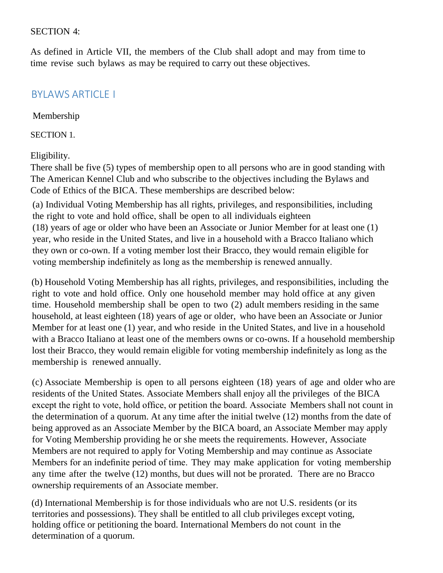#### SECTION 4:

As defined in Article VII, the members of the Club shall adopt and may from time to time revise such bylaws as may be required to carry out these objectives.

## BYLAWS ARTICLE I

#### Membership

SECTION 1.

#### Eligibility.

There shall be five (5) types of membership open to all persons who are in good standing with The American Kennel Club and who subscribe to the objectives including the Bylaws and Code of Ethics of the BICA. These memberships are described below:

(a) Individual Voting Membership has all rights, privileges, and responsibilities, including the right to vote and hold office, shall be open to all individuals eighteen (18) years of age or older who have been an Associate or Junior Member for at least one (1) year, who reside in the United States, and live in a household with a Bracco Italiano which they own or co-own. If a voting member lost their Bracco, they would remain eligible for voting membership indefinitely as long as the membership is renewed annually.

(b) Household Voting Membership has all rights, privileges, and responsibilities, including the right to vote and hold office. Only one household member may hold office at any given time. Household membership shall be open to two (2) adult members residing in the same household, at least eighteen (18) years of age or older, who have been an Associate or Junior Member for at least one (1) year, and who reside in the United States, and live in a household with a Bracco Italiano at least one of the members owns or co-owns. If a household membership lost their Bracco, they would remain eligible for voting membership indefinitely as long as the membership is renewed annually.

(c) Associate Membership is open to all persons eighteen (18) years of age and older who are residents of the United States. Associate Members shall enjoy all the privileges of the BICA except the right to vote, hold office, or petition the board. Associate Members shall not count in the determination of a quorum. At any time after the initial twelve (12) months from the date of being approved as an Associate Member by the BICA board, an Associate Member may apply for Voting Membership providing he or she meets the requirements. However, Associate Members are not required to apply for Voting Membership and may continue as Associate Members for an indefinite period of time. They may make application for voting membership any time after the twelve (12) months, but dues will not be prorated. There are no Bracco ownership requirements of an Associate member.

(d) International Membership is for those individuals who are not U.S. residents (or its territories and possessions). They shall be entitled to all club privileges except voting, holding office or petitioning the board. International Members do not count in the determination of a quorum.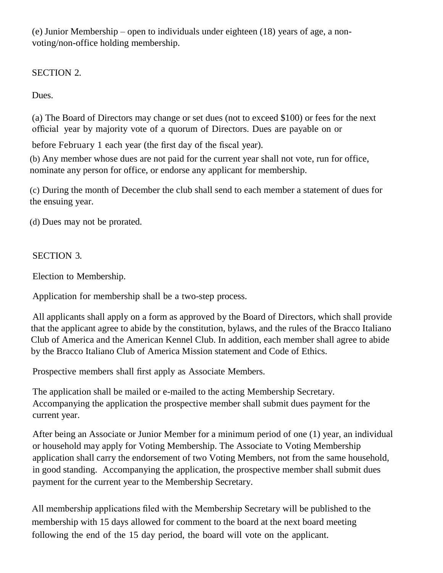(e) Junior Membership – open to individuals under eighteen (18) years of age, a nonvoting/non-office holding membership.

SECTION 2.

Dues.

(a) The Board of Directors may change or set dues (not to exceed \$100) or fees for the next official year by majority vote of a quorum of Directors. Dues are payable on or

before February 1 each year (the first day of the fiscal year).

(b) Any member whose dues are not paid for the current year shall not vote, run for office, nominate any person for office, or endorse any applicant for membership.

(c) During the month of December the club shall send to each member a statement of dues for the ensuing year.

(d) Dues may not be prorated.

## SECTION 3.

Election to Membership.

Application for membership shall be a two-step process.

All applicants shall apply on a form as approved by the Board of Directors, which shall provide that the applicant agree to abide by the constitution, bylaws, and the rules of the Bracco Italiano Club of America and the American Kennel Club. In addition, each member shall agree to abide by the Bracco Italiano Club of America Mission statement and Code of Ethics.

Prospective members shall first apply as Associate Members.

The application shall be mailed or e-mailed to the acting Membership Secretary. Accompanying the application the prospective member shall submit dues payment for the current year.

After being an Associate or Junior Member for a minimum period of one (1) year, an individual or household may apply for Voting Membership. The Associate to Voting Membership application shall carry the endorsement of two Voting Members, not from the same household, in good standing. Accompanying the application, the prospective member shall submit dues payment for the current year to the Membership Secretary.

All membership applications filed with the Membership Secretary will be published to the membership with 15 days allowed for comment to the board at the next board meeting following the end of the 15 day period, the board will vote on the applicant.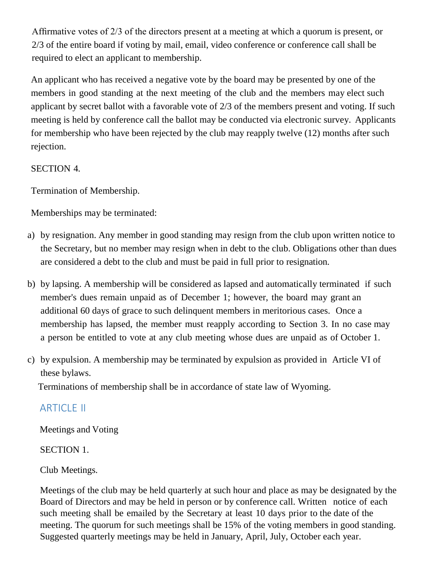Affirmative votes of 2/3 of the directors present at a meeting at which a quorum is present, or 2/3 of the entire board if voting by mail, email, video conference or conference call shall be required to elect an applicant to membership.

An applicant who has received a negative vote by the board may be presented by one of the members in good standing at the next meeting of the club and the members may elect such applicant by secret ballot with a favorable vote of 2/3 of the members present and voting. If such meeting is held by conference call the ballot may be conducted via electronic survey. Applicants for membership who have been rejected by the club may reapply twelve (12) months after such rejection.

## SECTION 4.

Termination of Membership.

Memberships may be terminated:

- a) by resignation. Any member in good standing may resign from the club upon written notice to the Secretary, but no member may resign when in debt to the club. Obligations other than dues are considered a debt to the club and must be paid in full prior to resignation.
- b) by lapsing. A membership will be considered as lapsed and automatically terminated if such member's dues remain unpaid as of December 1; however, the board may grant an additional 60 days of grace to such delinquent members in meritorious cases. Once a membership has lapsed, the member must reapply according to Section 3. In no case may a person be entitled to vote at any club meeting whose dues are unpaid as of October 1.
- c) by expulsion. A membership may be terminated by expulsion as provided in Article VI of these bylaws.

Terminations of membership shall be in accordance of state law of Wyoming.

# ARTICLE II

Meetings and Voting

SECTION 1.

Club Meetings.

Meetings of the club may be held quarterly at such hour and place as may be designated by the Board of Directors and may be held in person or by conference call. Written notice of each such meeting shall be emailed by the Secretary at least 10 days prior to the date of the meeting. The quorum for such meetings shall be 15% of the voting members in good standing. Suggested quarterly meetings may be held in January, April, July, October each year.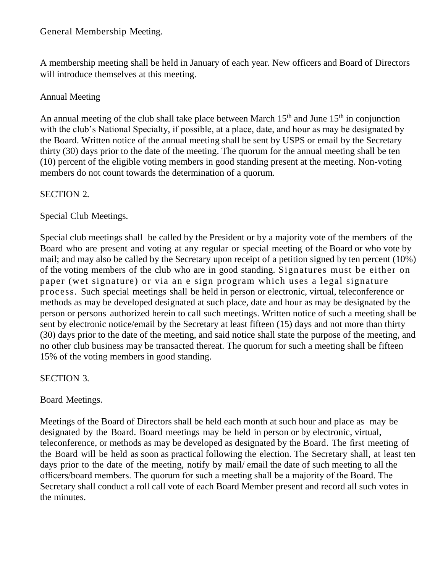## General Membership Meeting.

A membership meeting shall be held in January of each year. New officers and Board of Directors will introduce themselves at this meeting.

## Annual Meeting

An annual meeting of the club shall take place between March  $15<sup>th</sup>$  and June  $15<sup>th</sup>$  in conjunction with the club's National Specialty, if possible, at a place, date, and hour as may be designated by the Board. Written notice of the annual meeting shall be sent by USPS or email by the Secretary thirty (30) days prior to the date of the meeting. The quorum for the annual meeting shall be ten (10) percent of the eligible voting members in good standing present at the meeting. Non-voting members do not count towards the determination of a quorum.

## SECTION 2.

Special Club Meetings.

Special club meetings shall be called by the President or by a majority vote of the members of the Board who are present and voting at any regular or special meeting of the Board or who vote by mail; and may also be called by the Secretary upon receipt of a petition signed by ten percent (10%) of the voting members of the club who are in good standing. Signatures must be either on paper (wet signature) or via an e sign program which uses a legal signature process. Such special meetings shall be held in person or electronic, virtual, teleconference or methods as may be developed designated at such place, date and hour as may be designated by the person or persons authorized herein to call such meetings. Written notice of such a meeting shall be sent by electronic notice/email by the Secretary at least fifteen (15) days and not more than thirty (30) days prior to the date of the meeting, and said notice shall state the purpose of the meeting, and no other club business may be transacted thereat. The quorum for such a meeting shall be fifteen 15% of the voting members in good standing.

SECTION 3.

Board Meetings.

Meetings of the Board of Directors shall be held each month at such hour and place as may be designated by the Board. Board meetings may be held in person or by electronic, virtual, teleconference, or methods as may be developed as designated by the Board. The first meeting of the Board will be held as soon as practical following the election. The Secretary shall, at least ten days prior to the date of the meeting, notify by mail/ email the date of such meeting to all the officers/board members. The quorum for such a meeting shall be a majority of the Board. The Secretary shall conduct a roll call vote of each Board Member present and record all such votes in the minutes.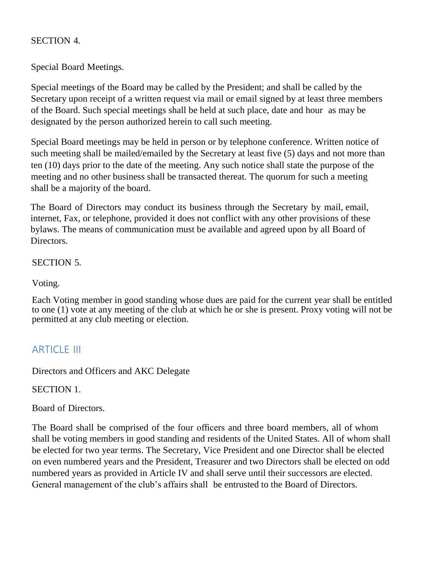## SECTION 4.

Special Board Meetings.

Special meetings of the Board may be called by the President; and shall be called by the Secretary upon receipt of a written request via mail or email signed by at least three members of the Board. Such special meetings shall be held at such place, date and hour as may be designated by the person authorized herein to call such meeting.

Special Board meetings may be held in person or by telephone conference. Written notice of such meeting shall be mailed/emailed by the Secretary at least five (5) days and not more than ten (10) days prior to the date of the meeting. Any such notice shall state the purpose of the meeting and no other business shall be transacted thereat. The quorum for such a meeting shall be a majority of the board.

The Board of Directors may conduct its business through the Secretary by mail, email, internet, Fax, or telephone, provided it does not conflict with any other provisions of these bylaws. The means of communication must be available and agreed upon by all Board of Directors.

## SECTION 5.

Voting.

Each Voting member in good standing whose dues are paid for the current year shall be entitled to one (1) vote at any meeting of the club at which he or she is present. Proxy voting will not be permitted at any club meeting or election.

# **ARTICLE III**

Directors and Officers and AKC Delegate

SECTION 1.

Board of Directors.

The Board shall be comprised of the four officers and three board members, all of whom shall be voting members in good standing and residents of the United States. All of whom shall be elected for two year terms. The Secretary, Vice President and one Director shall be elected on even numbered years and the President, Treasurer and two Directors shall be elected on odd numbered years as provided in Article IV and shall serve until their successors are elected. General management of the club's affairs shall be entrusted to the Board of Directors.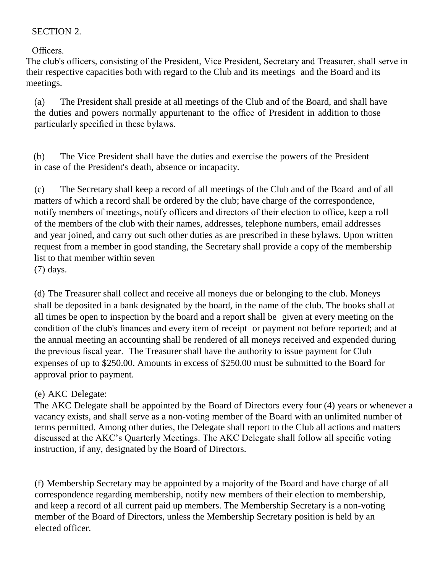## SECTION 2.

Officers.

The club's officers, consisting of the President, Vice President, Secretary and Treasurer, shall serve in their respective capacities both with regard to the Club and its meetings and the Board and its meetings.

(a) The President shall preside at all meetings of the Club and of the Board, and shall have the duties and powers normally appurtenant to the office of President in addition to those particularly specified in these bylaws.

(b) The Vice President shall have the duties and exercise the powers of the President in case of the President's death, absence or incapacity.

(c) The Secretary shall keep a record of all meetings of the Club and of the Board and of all matters of which a record shall be ordered by the club; have charge of the correspondence, notify members of meetings, notify officers and directors of their election to office, keep a roll of the members of the club with their names, addresses, telephone numbers, email addresses and year joined, and carry out such other duties as are prescribed in these bylaws. Upon written request from a member in good standing, the Secretary shall provide a copy of the membership list to that member within seven (7) days.

(d) The Treasurer shall collect and receive all moneys due or belonging to the club. Moneys shall be deposited in a bank designated by the board, in the name of the club. The books shall at all times be open to inspection by the board and a report shall be given at every meeting on the condition of the club's finances and every item of receipt or payment not before reported; and at the annual meeting an accounting shall be rendered of all moneys received and expended during the previous fiscal year. The Treasurer shall have the authority to issue payment for Club expenses of up to \$250.00. Amounts in excess of \$250.00 must be submitted to the Board for approval prior to payment.

## (e) AKC Delegate:

The AKC Delegate shall be appointed by the Board of Directors every four (4) years or whenever a vacancy exists, and shall serve as a non-voting member of the Board with an unlimited number of terms permitted. Among other duties, the Delegate shall report to the Club all actions and matters discussed at the AKC's Quarterly Meetings. The AKC Delegate shall follow all specific voting instruction, if any, designated by the Board of Directors.

(f) Membership Secretary may be appointed by a majority of the Board and have charge of all correspondence regarding membership, notify new members of their election to membership, and keep a record of all current paid up members. The Membership Secretary is a non-voting member of the Board of Directors, unless the Membership Secretary position is held by an elected officer.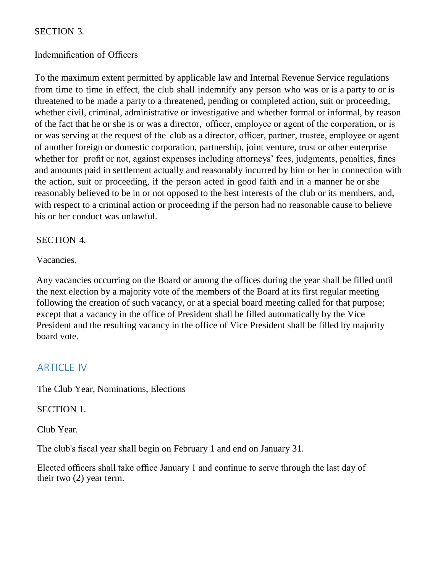## SECTION 3.

#### Indemnification of Officers

To the maximum extent permitted by applicable law and Internal Revenue Service regulations from time to time in effect, the club shall indemnify any person who was or is a party to or is threatened to be made a party to a threatened, pending or completed action, suit or proceeding, whether civil, criminal, administrative or investigative and whether formal or informal, by reason of the fact that he or she is or was a director, officer, employee or agent of the corporation, or is or was serving at the request of the club as a director, officer, partner, trustee, employee or agent of another foreign or domestic corporation, partnership, joint venture, trust or other enterprise whether for profit or not, against expenses including attorneys' fees, judgments, penalties, fines and amounts paid in settlement actually and reasonably incurred by him or her in connection with the action, suit or proceeding, if the person acted in good faith and in a manner he or she reasonably believed to be in or not opposed to the best interests of the club or its members, and, with respect to a criminal action or proceeding if the person had no reasonable cause to believe his or her conduct was unlawful.

#### SECTION 4.

Vacancies.

Any vacancies occurring on the Board or among the offices during the year shall be filled until the next election by a majority vote of the members of the Board at its first regular meeting following the creation of such vacancy, or at a special board meeting called for that purpose; except that a vacancy in the office of President shall be filled automatically by the Vice President and the resulting vacancy in the office of Vice President shall be filled by majority board vote.

## ARTICLE IV

The Club Year, Nominations, Elections

SECTION 1.

Club Year.

The club's fiscal year shall begin on February 1 and end on January 31.

Elected officers shall take office January 1 and continue to serve through the last day of their two (2) year term.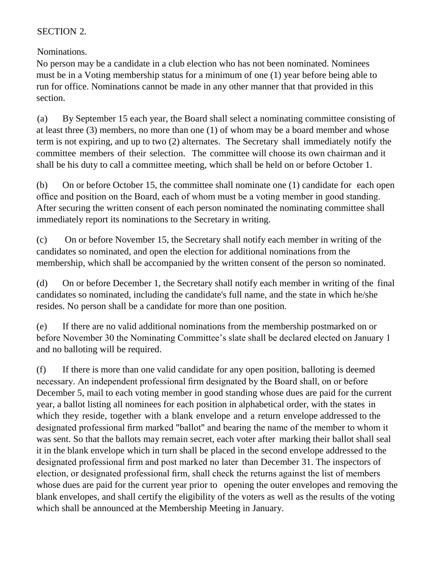## SECTION 2.

Nominations.

No person may be a candidate in a club election who has not been nominated. Nominees must be in a Voting membership status for a minimum of one (1) year before being able to run for office. Nominations cannot be made in any other manner that that provided in this section.

(a) By September 15 each year, the Board shall select a nominating committee consisting of at least three (3) members, no more than one (1) of whom may be a board member and whose term is not expiring, and up to two (2) alternates. The Secretary shall immediately notify the committee members of their selection. The committee will choose its own chairman and it shall be his duty to call a committee meeting, which shall be held on or before October 1.

(b) On or before October 15, the committee shall nominate one (1) candidate for each open office and position on the Board, each of whom must be a voting member in good standing. After securing the written consent of each person nominated the nominating committee shall immediately report its nominations to the Secretary in writing.

(c) On or before November 15, the Secretary shall notify each member in writing of the candidates so nominated, and open the election for additional nominations from the membership, which shall be accompanied by the written consent of the person so nominated.

(d) On or before December 1, the Secretary shall notify each member in writing of the final candidates so nominated, including the candidate's full name, and the state in which he/she resides. No person shall be a candidate for more than one position.

(e) If there are no valid additional nominations from the membership postmarked on or before November 30 the Nominating Committee's slate shall be declared elected on January 1 and no balloting will be required.

(f) If there is more than one valid candidate for any open position, balloting is deemed necessary. An independent professional firm designated by the Board shall, on or before December 5, mail to each voting member in good standing whose dues are paid for the current year, a ballot listing all nominees for each position in alphabetical order, with the states in which they reside, together with a blank envelope and a return envelope addressed to the designated professional firm marked "ballot" and bearing the name of the member to whom it was sent. So that the ballots may remain secret, each voter after marking their ballot shall seal it in the blank envelope which in turn shall be placed in the second envelope addressed to the designated professional firm and post marked no later than December 31. The inspectors of election, or designated professional firm, shall check the returns against the list of members whose dues are paid for the current year prior to opening the outer envelopes and removing the blank envelopes, and shall certify the eligibility of the voters as well as the results of the voting which shall be announced at the Membership Meeting in January.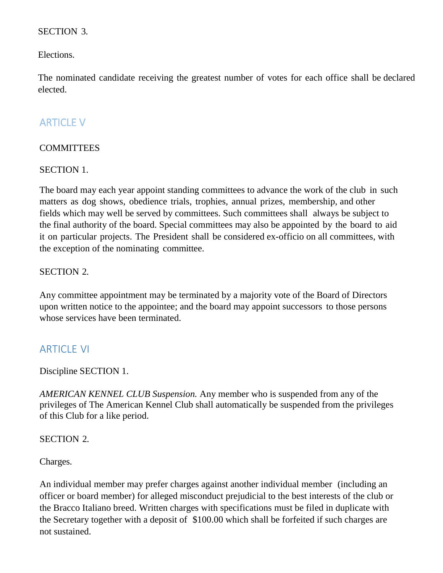#### SECTION 3.

Elections.

The nominated candidate receiving the greatest number of votes for each office shall be declared elected.

# ARTICLE V

## **COMMITTEES**

SECTION 1.

The board may each year appoint standing committees to advance the work of the club in such matters as dog shows, obedience trials, trophies, annual prizes, membership, and other fields which may well be served by committees. Such committees shall always be subject to the final authority of the board. Special committees may also be appointed by the board to aid it on particular projects. The President shall be considered ex-officio on all committees, with the exception of the nominating committee.

## SECTION 2.

Any committee appointment may be terminated by a majority vote of the Board of Directors upon written notice to the appointee; and the board may appoint successors to those persons whose services have been terminated.

## **ARTICLE VI**

Discipline SECTION 1.

*AMERICAN KENNEL CLUB Suspension.* Any member who is suspended from any of the privileges of The American Kennel Club shall automatically be suspended from the privileges of this Club for a like period.

#### SECTION 2.

Charges.

An individual member may prefer charges against another individual member (including an officer or board member) for alleged misconduct prejudicial to the best interests of the club or the Bracco Italiano breed. Written charges with specifications must be filed in duplicate with the Secretary together with a deposit of \$100.00 which shall be forfeited if such charges are not sustained.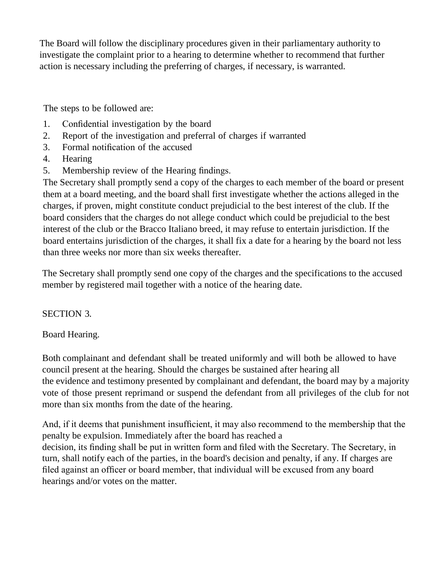The Board will follow the disciplinary procedures given in their parliamentary authority to investigate the complaint prior to a hearing to determine whether to recommend that further action is necessary including the preferring of charges, if necessary, is warranted.

The steps to be followed are:

- 1. Confidential investigation by the board
- 2. Report of the investigation and preferral of charges if warranted
- 3. Formal notification of the accused
- 4. Hearing
- 5. Membership review of the Hearing findings.

The Secretary shall promptly send a copy of the charges to each member of the board or present them at a board meeting, and the board shall first investigate whether the actions alleged in the charges, if proven, might constitute conduct prejudicial to the best interest of the club. If the board considers that the charges do not allege conduct which could be prejudicial to the best interest of the club or the Bracco Italiano breed, it may refuse to entertain jurisdiction. If the board entertains jurisdiction of the charges, it shall fix a date for a hearing by the board not less than three weeks nor more than six weeks thereafter.

The Secretary shall promptly send one copy of the charges and the specifications to the accused member by registered mail together with a notice of the hearing date.

## SECTION 3.

## Board Hearing.

Both complainant and defendant shall be treated uniformly and will both be allowed to have council present at the hearing. Should the charges be sustained after hearing all the evidence and testimony presented by complainant and defendant, the board may by a majority vote of those present reprimand or suspend the defendant from all privileges of the club for not more than six months from the date of the hearing.

And, if it deems that punishment insufficient, it may also recommend to the membership that the penalty be expulsion. Immediately after the board has reached a decision, its finding shall be put in written form and filed with the Secretary. The Secretary, in turn, shall notify each of the parties, in the board's decision and penalty, if any. If charges are filed against an officer or board member, that individual will be excused from any board hearings and/or votes on the matter.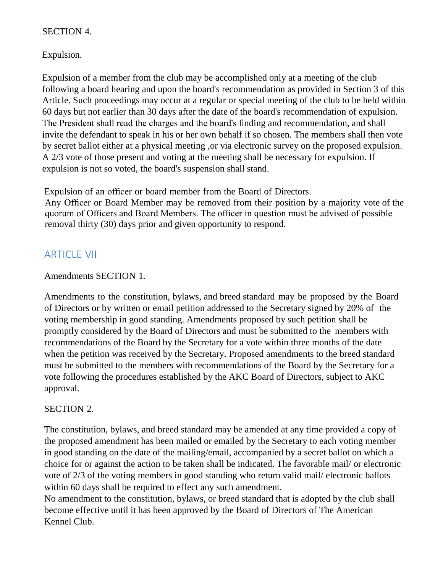## SECTION 4.

Expulsion.

Expulsion of a member from the club may be accomplished only at a meeting of the club following a board hearing and upon the board's recommendation as provided in Section 3 of this Article. Such proceedings may occur at a regular or special meeting of the club to be held within 60 days but not earlier than 30 days after the date of the board's recommendation of expulsion. The President shall read the charges and the board's finding and recommendation, and shall invite the defendant to speak in his or her own behalf if so chosen. The members shall then vote by secret ballot either at a physical meeting ,or via electronic survey on the proposed expulsion. A 2/3 vote of those present and voting at the meeting shall be necessary for expulsion. If expulsion is not so voted, the board's suspension shall stand.

Expulsion of an officer or board member from the Board of Directors.

 Any Officer or Board Member may be removed from their position by a majority vote of the quorum of Officers and Board Members. The officer in question must be advised of possible removal thirty (30) days prior and given opportunity to respond.

## ARTICLE VII

## Amendments SECTION 1.

Amendments to the constitution, bylaws, and breed standard may be proposed by the Board of Directors or by written or email petition addressed to the Secretary signed by 20% of the voting membership in good standing. Amendments proposed by such petition shall be promptly considered by the Board of Directors and must be submitted to the members with recommendations of the Board by the Secretary for a vote within three months of the date when the petition was received by the Secretary. Proposed amendments to the breed standard must be submitted to the members with recommendations of the Board by the Secretary for a vote following the procedures established by the AKC Board of Directors, subject to AKC approval.

## SECTION 2.

The constitution, bylaws, and breed standard may be amended at any time provided a copy of the proposed amendment has been mailed or emailed by the Secretary to each voting member in good standing on the date of the mailing/email, accompanied by a secret ballot on which a choice for or against the action to be taken shall be indicated. The favorable mail/ or electronic vote of 2/3 of the voting members in good standing who return valid mail/ electronic ballots within 60 days shall be required to effect any such amendment.

No amendment to the constitution, bylaws, or breed standard that is adopted by the club shall become effective until it has been approved by the Board of Directors of The American Kennel Club.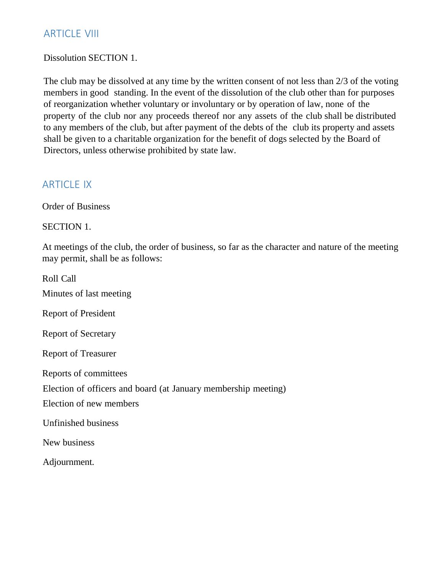## ARTICLE VIII

#### Dissolution SECTION 1.

The club may be dissolved at any time by the written consent of not less than 2/3 of the voting members in good standing. In the event of the dissolution of the club other than for purposes of reorganization whether voluntary or involuntary or by operation of law, none of the property of the club nor any proceeds thereof nor any assets of the club shall be distributed to any members of the club, but after payment of the debts of the club its property and assets shall be given to a charitable organization for the benefit of dogs selected by the Board of Directors, unless otherwise prohibited by state law.

## **ARTICLE IX**

Order of Business

SECTION 1.

At meetings of the club, the order of business, so far as the character and nature of the meeting may permit, shall be as follows:

Roll Call Minutes of last meeting Report of President Report of Secretary Report of Treasurer Reports of committees Election of officers and board (at January membership meeting) Election of new members Unfinished business New business Adjournment.